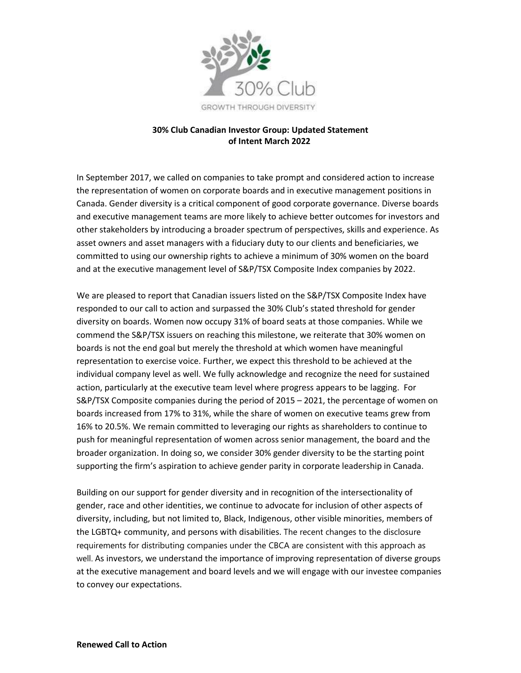

## **30% Club Canadian Investor Group: Updated Statement of Intent March 2022**

In September 2017, we called on companies to take prompt and considered action to increase the representation of women on corporate boards and in executive management positions in Canada. Gender diversity is a critical component of good corporate governance. Diverse boards and executive management teams are more likely to achieve better outcomes for investors and other stakeholders by introducing a broader spectrum of perspectives, skills and experience. As asset owners and asset managers with a fiduciary duty to our clients and beneficiaries, we committed to using our ownership rights to achieve a minimum of 30% women on the board and at the executive management level of S&P/TSX Composite Index companies by 2022.

We are pleased to report that Canadian issuers listed on the S&P/TSX Composite Index have responded to our call to action and surpassed the 30% Club's stated threshold for gender diversity on boards. Women now occupy 31% of board seats at those companies. While we commend the S&P/TSX issuers on reaching this milestone, we reiterate that 30% women on boards is not the end goal but merely the threshold at which women have meaningful representation to exercise voice. Further, we expect this threshold to be achieved at the individual company level as well. We fully acknowledge and recognize the need for sustained action, particularly at the executive team level where progress appears to be lagging. For S&P/TSX Composite companies during the period of 2015 – 2021, the percentage of women on boards increased from 17% to 31%, while the share of women on executive teams grew from 16% to 20.5%. We remain committed to leveraging our rights as shareholders to continue to push for meaningful representation of women across senior management, the board and the broader organization. In doing so, we consider 30% gender diversity to be the starting point supporting the firm's aspiration to achieve gender parity in corporate leadership in Canada.

Building on our support for gender diversity and in recognition of the intersectionality of gender, race and other identities, we continue to advocate for inclusion of other aspects of diversity, including, but not limited to, Black, Indigenous, other visible minorities, members of the LGBTQ+ community, and persons with disabilities. The recent changes to the disclosure requirements for distributing companies under the CBCA are consistent with this approach as well. As investors, we understand the importance of improving representation of diverse groups at the executive management and board levels and we will engage with our investee companies to convey our expectations.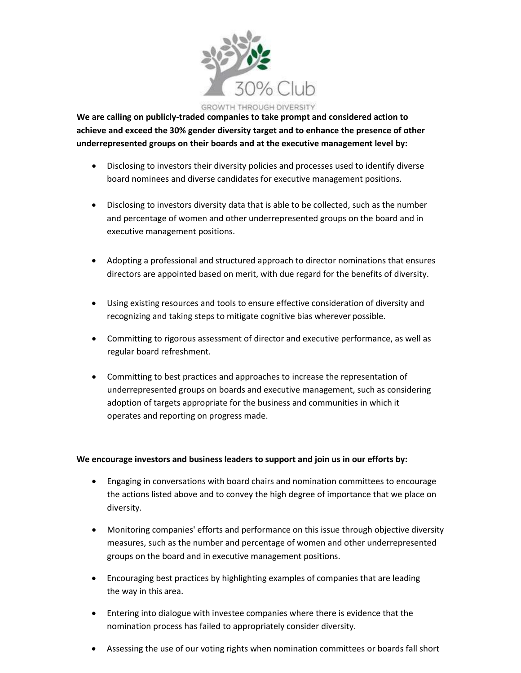

**We are calling on publicly-traded companies to take prompt and considered action to achieve and exceed the 30% gender diversity target and to enhance the presence of other underrepresented groups on their boards and at the executive management level by:**

- Disclosing to investors their diversity policies and processes used to identify diverse board nominees and diverse candidates for executive management positions.
- Disclosing to investors diversity data that is able to be collected, such as the number and percentage of women and other underrepresented groups on the board and in executive management positions.
- Adopting a professional and structured approach to director nominations that ensures directors are appointed based on merit, with due regard for the benefits of diversity.
- Using existing resources and tools to ensure effective consideration of diversity and recognizing and taking steps to mitigate cognitive bias wherever possible.
- Committing to rigorous assessment of director and executive performance, as well as regular board refreshment.
- Committing to best practices and approaches to increase the representation of underrepresented groups on boards and executive management, such as considering adoption of targets appropriate for the business and communities in which it operates and reporting on progress made.

## **We encourage investors and business leaders to support and join us in our efforts by:**

- Engaging in conversations with board chairs and nomination committees to encourage the actions listed above and to convey the high degree of importance that we place on diversity.
- Monitoring companies' efforts and performance on this issue through objective diversity measures, such as the number and percentage of women and other underrepresented groups on the board and in executive management positions.
- Encouraging best practices by highlighting examples of companies that are leading the way in this area.
- Entering into dialogue with investee companies where there is evidence that the nomination process has failed to appropriately consider diversity.
- Assessing the use of our voting rights when nomination committees or boards fall short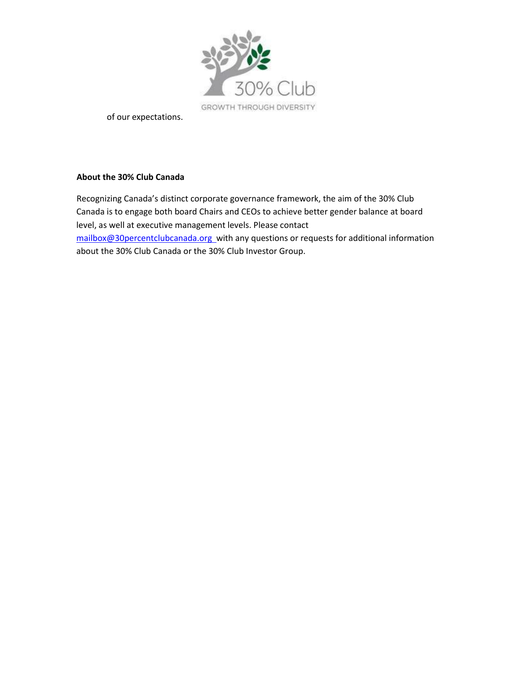

of our expectations.

## **About the 30% Club Canada**

Recognizing Canada's distinct corporate governance framework, the aim of the 30% Club Canada is to engage both board Chairs and CEOs to achieve better gender balance at board level, as well at executive management levels. Please contact [mailbox@30percentclubcanada.org w](mailto:mailbox@30percentclubcanada.org)ith any questions or requests for additional information about the 30% Club Canada or the 30% Club Investor Group.